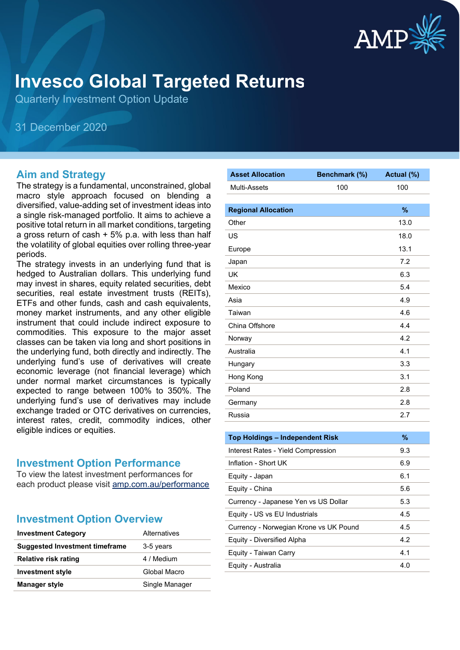

# **Invesco Global Targeted Returns**

Quarterly Investment Option Update

31 December 2020

#### **Aim and Strategy**

The strategy is a fundamental, unconstrained, global macro style approach focused on blending a diversified, value-adding set of investment ideas into a single risk-managed portfolio. It aims to achieve a positive total return in all market conditions, targeting a gross return of cash  $+5\%$  p.a. with less than half the volatility of global equities over rolling three-year periods.

The strategy invests in an underlying fund that is hedged to Australian dollars. This underlying fund may invest in shares, equity related securities, debt securities, real estate investment trusts (REITs), ETFs and other funds, cash and cash equivalents, money market instruments, and any other eligible instrument that could include indirect exposure to commodities. This exposure to the major asset classes can be taken via long and short positions in the underlying fund, both directly and indirectly. The underlying fund's use of derivatives will create economic leverage (not financial leverage) which under normal market circumstances is typically expected to range between 100% to 350%. The underlying fund's use of derivatives may include exchange traded or OTC derivatives on currencies, interest rates, credit, commodity indices, other eligible indices or equities.

#### **Investment Option Performance**

To view the latest investment performances for each product please visit [amp.com.au/performance](https://amp.com.au/performance)

#### **Investment Option Overview**

| <b>Investment Category</b>            | Alternatives   |
|---------------------------------------|----------------|
| <b>Suggested Investment timeframe</b> | 3-5 years      |
| <b>Relative risk rating</b>           | 4 / Medium     |
| <b>Investment style</b>               | Global Macro   |
| <b>Manager style</b>                  | Single Manager |

| <b>Asset Allocation</b>                | Benchmark (%) | Actual (%) |
|----------------------------------------|---------------|------------|
| Multi-Assets                           | 100           | 100        |
|                                        |               |            |
| <b>Regional Allocation</b>             |               | %          |
| Other                                  |               | 13.0       |
| US                                     |               | 18.0       |
| Europe                                 |               | 13.1       |
| Japan                                  |               | 7.2        |
| UK                                     |               | 6.3        |
| Mexico                                 |               | 5.4        |
| Asia                                   |               | 4.9        |
| Taiwan                                 |               | 4.6        |
| China Offshore                         |               | 4.4        |
| Norway                                 |               | 4.2        |
| Australia                              |               | 4.1        |
| Hungary                                |               | 3.3        |
| Hong Kong                              |               | 3.1        |
| Poland                                 |               | 2.8        |
| Germany                                |               | 2.8        |
| Russia                                 |               | 2.7        |
|                                        |               |            |
| <b>Top Holdings - Independent Risk</b> |               | %          |
| Interest Rates - Yield Compression     |               | 9.3        |
| Inflation - Short UK                   |               | 6.9        |
| Equity - Japan                         |               | 6.1        |
| Equity - China                         |               | 5.6        |
| Currency - Japanese Yen vs US Dollar   |               | 5.3        |
| Equity - US vs EU Industrials          |               | 4.5        |
| Currency - Norwegian Krone vs UK Pound |               | 4.5        |
| Equity - Diversified Alpha             |               | 4.2        |
| Equity - Taiwan Carry                  |               | 4.1        |
| Equity - Australia                     |               | 4.0        |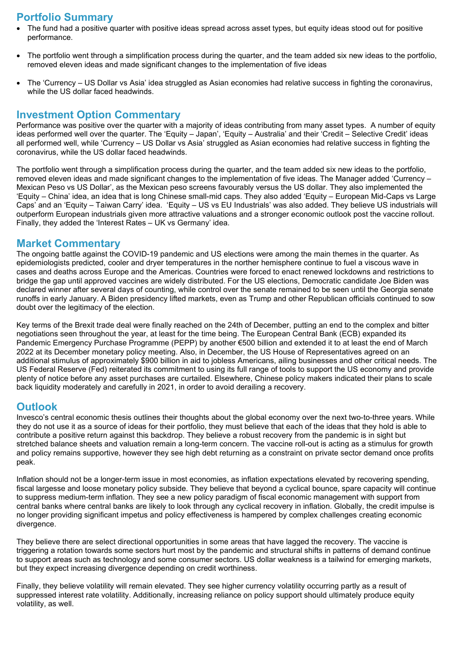## **Portfolio Summary**

- The fund had a positive quarter with positive ideas spread across asset types, but equity ideas stood out for positive performance.
- The portfolio went through a simplification process during the quarter, and the team added six new ideas to the portfolio, removed eleven ideas and made significant changes to the implementation of five ideas
- The 'Currency US Dollar vs Asia' idea struggled as Asian economies had relative success in fighting the coronavirus, while the US dollar faced headwinds.

### **Investment Option Commentary**

Performance was positive over the quarter with a majority of ideas contributing from many asset types. A number of equity ideas performed well over the quarter. The 'Equity – Japan', 'Equity – Australia' and their 'Credit – Selective Credit' ideas all performed well, while 'Currency – US Dollar vs Asia' struggled as Asian economies had relative success in fighting the coronavirus, while the US dollar faced headwinds.

The portfolio went through a simplification process during the quarter, and the team added six new ideas to the portfolio, removed eleven ideas and made significant changes to the implementation of five ideas. The Manager added 'Currency – Mexican Peso vs US Dollar', as the Mexican peso screens favourably versus the US dollar. They also implemented the 'Equity – China' idea, an idea that is long Chinese small-mid caps. They also added 'Equity – European Mid-Caps vs Large Caps' and an 'Equity – Taiwan Carry' idea. 'Equity – US vs EU Industrials' was also added. They believe US industrials will outperform European industrials given more attractive valuations and a stronger economic outlook post the vaccine rollout. Finally, they added the 'Interest Rates – UK vs Germany' idea.

#### **Market Commentary**

The ongoing battle against the COVID-19 pandemic and US elections were among the main themes in the quarter. As epidemiologists predicted, cooler and dryer temperatures in the norther hemisphere continue to fuel a viscous wave in cases and deaths across Europe and the Americas. Countries were forced to enact renewed lockdowns and restrictions to bridge the gap until approved vaccines are widely distributed. For the US elections, Democratic candidate Joe Biden was declared winner after several days of counting, while control over the senate remained to be seen until the Georgia senate runoffs in early January. A Biden presidency lifted markets, even as Trump and other Republican officials continued to sow doubt over the legitimacy of the election.

Key terms of the Brexit trade deal were finally reached on the 24th of December, putting an end to the complex and bitter negotiations seen throughout the year, at least for the time being. The European Central Bank (ECB) expanded its Pandemic Emergency Purchase Programme (PEPP) by another €500 billion and extended it to at least the end of March 2022 at its December monetary policy meeting. Also, in December, the US House of Representatives agreed on an additional stimulus of approximately \$900 billion in aid to jobless Americans, ailing businesses and other critical needs. The US Federal Reserve (Fed) reiterated its commitment to using its full range of tools to support the US economy and provide plenty of notice before any asset purchases are curtailed. Elsewhere, Chinese policy makers indicated their plans to scale back liquidity moderately and carefully in 2021, in order to avoid derailing a recovery.

#### **Outlook**

Invesco's central economic thesis outlines their thoughts about the global economy over the next two-to-three years. While they do not use it as a source of ideas for their portfolio, they must believe that each of the ideas that they hold is able to contribute a positive return against this backdrop. They believe a robust recovery from the pandemic is in sight but stretched balance sheets and valuation remain a long-term concern. The vaccine roll-out is acting as a stimulus for growth and policy remains supportive, however they see high debt returning as a constraint on private sector demand once profits peak.

Inflation should not be a longer-term issue in most economies, as inflation expectations elevated by recovering spending, fiscal largesse and loose monetary policy subside. They believe that beyond a cyclical bounce, spare capacity will continue to suppress medium-term inflation. They see a new policy paradigm of fiscal economic management with support from central banks where central banks are likely to look through any cyclical recovery in inflation. Globally, the credit impulse is no longer providing significant impetus and policy effectiveness is hampered by complex challenges creating economic divergence.

They believe there are select directional opportunities in some areas that have lagged the recovery. The vaccine is triggering a rotation towards some sectors hurt most by the pandemic and structural shifts in patterns of demand continue to support areas such as technology and some consumer sectors. US dollar weakness is a tailwind for emerging markets, but they expect increasing divergence depending on credit worthiness.

Finally, they believe volatility will remain elevated. They see higher currency volatility occurring partly as a result of suppressed interest rate volatility. Additionally, increasing reliance on policy support should ultimately produce equity volatility, as well.